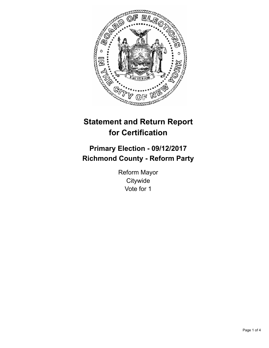

# **Statement and Return Report for Certification**

## **Primary Election - 09/12/2017 Richmond County - Reform Party**

Reform Mayor **Citywide** Vote for 1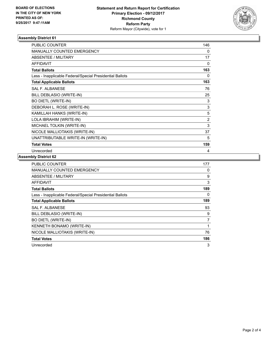

### **Assembly District 61**

| <b>PUBLIC COUNTER</b>                                    | 146            |
|----------------------------------------------------------|----------------|
| MANUALLY COUNTED EMERGENCY                               | 0              |
| ABSENTEE / MILITARY                                      | 17             |
| <b>AFFIDAVIT</b>                                         | 0              |
| <b>Total Ballots</b>                                     | 163            |
| Less - Inapplicable Federal/Special Presidential Ballots | 0              |
| <b>Total Applicable Ballots</b>                          | 163            |
| <b>SAL F. ALBANESE</b>                                   | 76             |
| BILL DEBLASIO (WRITE-IN)                                 | 25             |
| <b>BO DIETL (WRITE-IN)</b>                               | 3              |
| DEBORAH L. ROSE (WRITE-IN)                               | 3              |
| KAMILLAH HANKS (WRITE-IN)                                | 5              |
| LOLA IBRAHIM (WRITE-IN)                                  | $\overline{2}$ |
| MICHAEL TOLKIN (WRITE-IN)                                | 3              |
| NICOLE MALLIOTAKIS (WRITE-IN)                            | 37             |
| UNATTRIBUTABLE WRITE-IN (WRITE-IN)                       | 5              |
| <b>Total Votes</b>                                       | 159            |
| Unrecorded                                               | 4              |

### **Assembly District 62**

| <b>PUBLIC COUNTER</b>                                    | 177            |
|----------------------------------------------------------|----------------|
| <b>MANUALLY COUNTED EMERGENCY</b>                        | 0              |
| ABSENTEE / MILITARY                                      | 9              |
| <b>AFFIDAVIT</b>                                         | 3              |
| <b>Total Ballots</b>                                     | 189            |
| Less - Inapplicable Federal/Special Presidential Ballots | 0              |
| <b>Total Applicable Ballots</b>                          | 189            |
| <b>SAL F. ALBANESE</b>                                   | 93             |
| BILL DEBLASIO (WRITE-IN)                                 | 9              |
| <b>BO DIETL (WRITE-IN)</b>                               | $\overline{7}$ |
| KENNETH BONAMO (WRITE-IN)                                |                |
| NICOLE MALLIOTAKIS (WRITE-IN)                            | 76             |
| <b>Total Votes</b>                                       | 186            |
| Unrecorded                                               | 3              |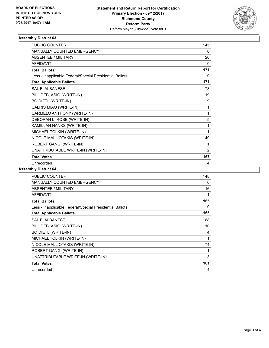

### **Assembly District 63**

| <b>PUBLIC COUNTER</b>                                    | 145            |
|----------------------------------------------------------|----------------|
| <b>MANUALLY COUNTED EMERGENCY</b>                        | 0              |
| <b>ABSENTEE / MILITARY</b>                               | 26             |
| <b>AFFIDAVIT</b>                                         | 0              |
| <b>Total Ballots</b>                                     | 171            |
| Less - Inapplicable Federal/Special Presidential Ballots | 0              |
| <b>Total Applicable Ballots</b>                          | 171            |
| <b>SAL F. ALBANESE</b>                                   | 78             |
| BILL DEBLASIO (WRITE-IN)                                 | 19             |
| <b>BO DIETL (WRITE-IN)</b>                               | 9              |
| CALRIS MIAO (WRITE-IN)                                   | 1              |
| CARMELO ANTHONY (WRITE-IN)                               | 1              |
| DEBORAH L. ROSE (WRITE-IN)                               | 5              |
| KAMILLAH HANKS (WRITE-IN)                                | 1              |
| MICHAEL TOLKIN (WRITE-IN)                                | 1              |
| NICOLE MALLIOTAKIS (WRITE-IN)                            | 49             |
| ROBERT GANGI (WRITE-IN)                                  | 1              |
| UNATTRIBUTABLE WRITE-IN (WRITE-IN)                       | $\overline{2}$ |
| <b>Total Votes</b>                                       | 167            |
| Unrecorded                                               | 4              |

### **Assembly District 64**

| <b>PUBLIC COUNTER</b>                                    | 148 |
|----------------------------------------------------------|-----|
| <b>MANUALLY COUNTED EMERGENCY</b>                        | 0   |
| ABSENTEE / MILITARY                                      | 16  |
| <b>AFFIDAVIT</b>                                         | 1   |
| <b>Total Ballots</b>                                     | 165 |
| Less - Inapplicable Federal/Special Presidential Ballots | 0   |
| <b>Total Applicable Ballots</b>                          | 165 |
| <b>SAL F. ALBANESE</b>                                   | 68  |
| BILL DEBLASIO (WRITE-IN)                                 | 10  |
| <b>BO DIETL (WRITE-IN)</b>                               | 4   |
| MICHAEL TOLKIN (WRITE-IN)                                | 1   |
| NICOLE MALLIOTAKIS (WRITE-IN)                            | 74  |
| ROBERT GANGI (WRITE-IN)                                  | 1   |
| UNATTRIBUTABLE WRITE-IN (WRITE-IN)                       | 3   |
| <b>Total Votes</b>                                       | 161 |
| Unrecorded                                               | 4   |